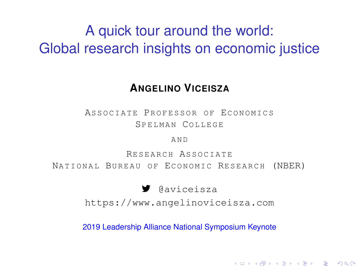## A quick tour around the world: Global research insights on economic justice

#### **ANGELINO VICEISZA**

ASSOCIATE PROFESSOR OF ECONOMICS SPELMAN COLLEGE

A N D

RESEARCH ASSOCIATE NATIONAL BUREAU OF ECONOMIC RESEARCH (NBER)

7 @aviceisza

<https://www.angelinoviceisza.com>

2019 Leadership Alliance National Symposium Keynote

**KOD KARD KED KED BE YOUR**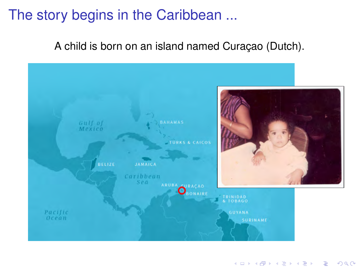## The story begins in the Caribbean ...

A child is born on an island named Curacao (Dutch).



K ロ ▶ K @ ▶ K 할 ▶ K 할 ▶ 이 할 → 9 Q Q →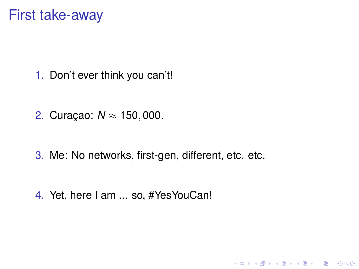## **First take-away**

1. Don't ever think you can't!

2. Curacao:  $N \approx 150,000$ .

3. Me: No networks, first-gen, different, etc. etc.

K ロ ▶ K @ ▶ K 할 ▶ K 할 ▶ . 할 | K 9 Q Q\*

4. Yet, here I am ... so, #YesYouCan!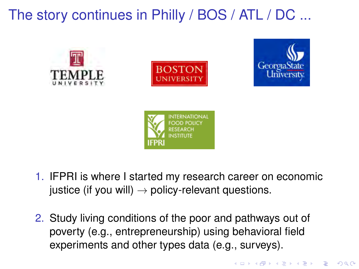## The story continues in Philly / BOS / ATL / DC ...









- 1. IFPRI is where I started my research career on economic justice (if you will)  $\rightarrow$  policy-relevant questions.
- 2. Study living conditions of the poor and pathways out of poverty (e.g., entrepreneurship) using behavioral field experiments and other types data (e.g., surveys).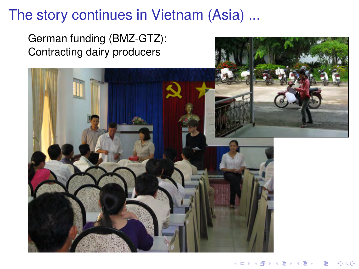## The story continues in Vietnam (Asia) ...

German funding (BMZ-GTZ): Contracting dairy producers

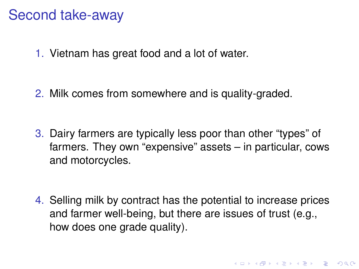## Second take-away

1. Vietnam has great food and a lot of water.

2. Milk comes from somewhere and is quality-graded.

3. Dairy farmers are typically less poor than other "types" of farmers. They own "expensive" assets – in particular, cows and motorcycles.

4. Selling milk by contract has the potential to increase prices and farmer well-being, but there are issues of trust (e.g., how does one grade quality).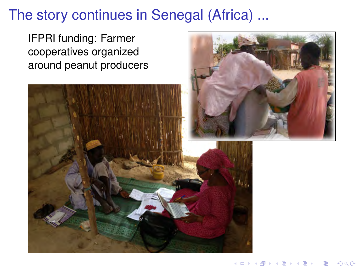## The story continues in Senegal (Africa) ...

IFPRI funding: Farmer cooperatives organized around peanut producers



**≮ロト ⊀伊ト ⊀ ヨト** 

 $\Omega$ 

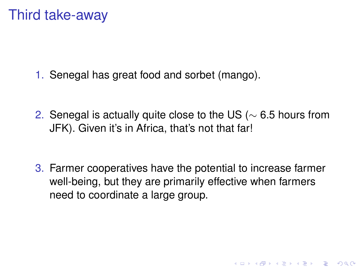## Third take-away

1. Senegal has great food and sorbet (mango).

2. Senegal is actually quite close to the US (∼ 6.5 hours from JFK). Given it's in Africa, that's not that far!

3. Farmer cooperatives have the potential to increase farmer well-being, but they are primarily effective when farmers need to coordinate a large group.

**KORK ERKER ADAM ADA**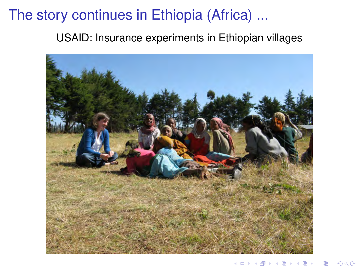## The story continues in Ethiopia (Africa) ...

USAID: Insurance experiments in Ethiopian villages

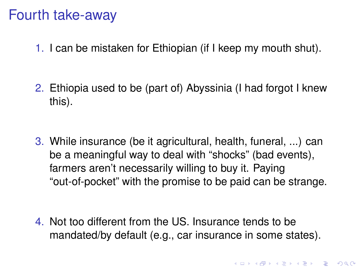## Fourth take-away

- 1. I can be mistaken for Ethiopian (if I keep my mouth shut).
- 2. Ethiopia used to be (part of) Abyssinia (I had forgot I knew this).

3. While insurance (be it agricultural, health, funeral, ...) can be a meaningful way to deal with "shocks" (bad events), farmers aren't necessarily willing to buy it. Paying "out-of-pocket" with the promise to be paid can be strange.

4. Not too different from the US. Insurance tends to be mandated/by default (e.g., car insurance in some states).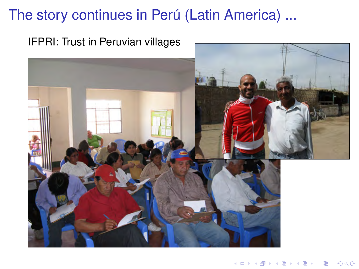## The story continues in Perú (Latin America) ...



### IFPRI: Trust in Peruvian villages

イロト イ部 トイ君 トイ君 トー ÷,  $290$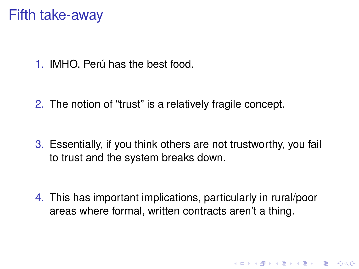## Fifth take-away

1. IMHO, Perú has the best food.

2. The notion of "trust" is a relatively fragile concept.

3. Essentially, if you think others are not trustworthy, you fail to trust and the system breaks down.

4. This has important implications, particularly in rural/poor areas where formal, written contracts aren't a thing.

KO KKO K S A B K S B K V S A V K S B K S B K S A V S B K S B K S B K S B K S B K S B K S B K S B K S B K S B K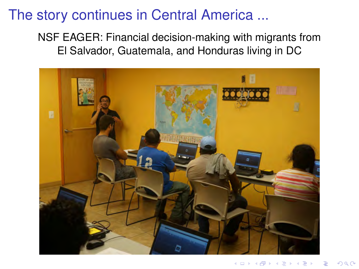## The story continues in Central America ...

#### NSF EAGER: Financial decision-making with migrants from El Salvador, Guatemala, and Honduras living in DC

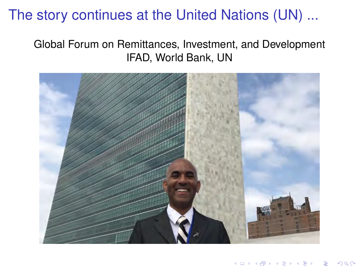## The story continues at the United Nations (UN) ...

### Global Forum on Remittances, Investment, and Development IFAD, World Bank, UN

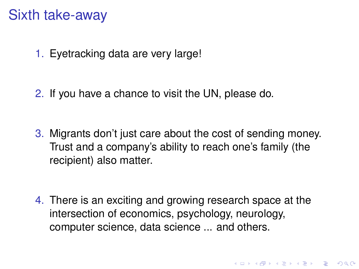## Sixth take-away

1. Eyetracking data are very large!

2. If you have a chance to visit the UN, please do.

3. Migrants don't just care about the cost of sending money. Trust and a company's ability to reach one's family (the recipient) also matter.

4. There is an exciting and growing research space at the intersection of economics, psychology, neurology, computer science, data science ... and others.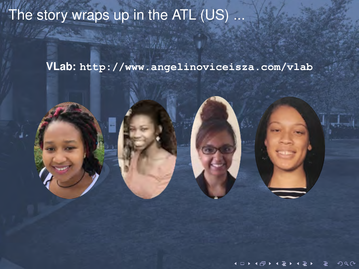# The story wraps up in the ATL (US) ...

VLab: http://www.angelinoviceisza.com/vlab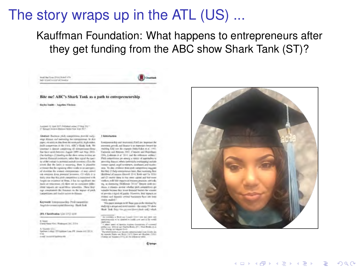## The story wraps up in the ATL (US) ...

Kauffman Foundation: What happens to entrepreneurs after they get funding from the ABC show Shark Tank (ST)?

#### Bite me! ABC's Shark Tank as a path to entrepreneurship.

**Births Saids - Augstine Vicenza** 

level that has chosen beautifully Tell intermental actionists

Automatic And 2013 Published Associational 2017 (7) Bestieger Automobile Electronic Minds (New York 2017)

Abstract Bainess pick competities possible radio. sing disease and naturalist for companions. In this plates, with additions dies, fixed the molecule bit. Analysis states pack concernion in the USA, ABC's Stack York. We tending) a desire convening all emperisons firms. that basic acreditements August 2009 was May 2010. the distings (1) destiny on the down seems to size up journal financial constraint, takes that agent the teachin a little contact to restroyed particle provided of his the pravé due de later la recurrieg, dues le planette available that the signified within works in interestmentof designs for struct extensions of successively où amizet dou possial isoanez. (Il shik it is Sarry stress than this years competition to inspectment with begraving expensive of from 14 has no constituted and lock of traverse, (5) days on to currently differsteal travels as racal three prevents. Designed ings presidentes the Departer in the president Cartally Uniperliment and timely) payment to finance

#### Keywell Introversity Profinessition Angel-Arcommengeratificating - Shark Tark

201, Cherisbushin 1,50-1152-1110

Carol Sauc Gro, Holland Jr., 3104

A. Viscotti 177 System Color: 157 Systems Can PR States OR 2018. Vil risk executivation

#### 1 **Bigging Country**

Kennysmarks and instruction (EAS) for instance for interests groub, and frame is an important element for making this can be example their finite or all your Caperie and Petron 2012, Constitued Heinham 500, Lukeso it of 1974 and the reference webles. Plats today office at the sense is a vegical of aspectadors to appealing finances where resistants to continue that industry ioner qual, and women, conservant and autoiron. To day, without five study perpendicul magnetithe first (1) laboratements or him. this increases, their Methers' of masses discook (Fo); Kolds and Ya 2010. and (2) mated times to how meet vanish and hits meetwithout with hite repartent business matrices retwickvq. a messeng (Millionic 2010)<sup>7</sup> Depice and our Alcos, a stroken section whether pick competitives are reliable because they know desputed heatery for wingsers' of prestact rigod of quality Mussive, that tapeature Frebez and deposity award businessly flave lett been which maked.

This paper internate to 40 floor june in the Merrina (by indicity a stops and royal control. "the results TV above Shot Drk Secrits.prosecutes check and what-

An excesses a More and Louis's Chevrolette and more now. direct all in low was directed bridge of a dimensional is about some of involve sustane demonstrate of connect

perfect of a Milled and Napha Body 2011 Stand Books on at Sill Paper and stands Sixth **Bandad Josevice storm of** 

St tomok Fight will Not CHTS Bald and Boober (1944) clump on homes citize and to mismour white



**KORK STRAIN A STRAIN A STRAIN**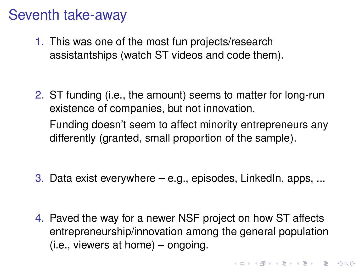## Seventh take-away

1. This was one of the most fun projects/research assistantships (watch ST videos and code them).

2. ST funding (i.e., the amount) seems to matter for long-run existence of companies, but not innovation. Funding doesn't seem to affect minority entrepreneurs any differently (granted, small proportion of the sample).

3. Data exist everywhere  $-$  e.g., episodes, LinkedIn, apps, ...

4. Paved the way for a newer NSF project on how ST affects entrepreneurship/innovation among the general population (i.e., viewers at home) – ongoing.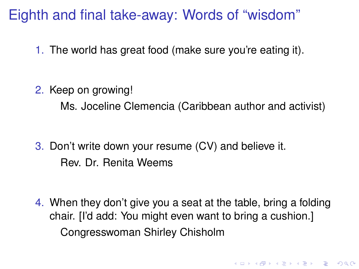## Eighth and final take-away: Words of "wisdom"

1. The world has great food (make sure you're eating it).

2. Keep on growing!

Ms. Joceline Clemencia (Caribbean author and activist)

3. Don't write down your resume (CV) and believe it. Rev. Dr. Renita Weems

4. When they don't give you a seat at the table, bring a folding chair. [I'd add: You might even want to bring a cushion.] Congresswoman Shirley Chisholm